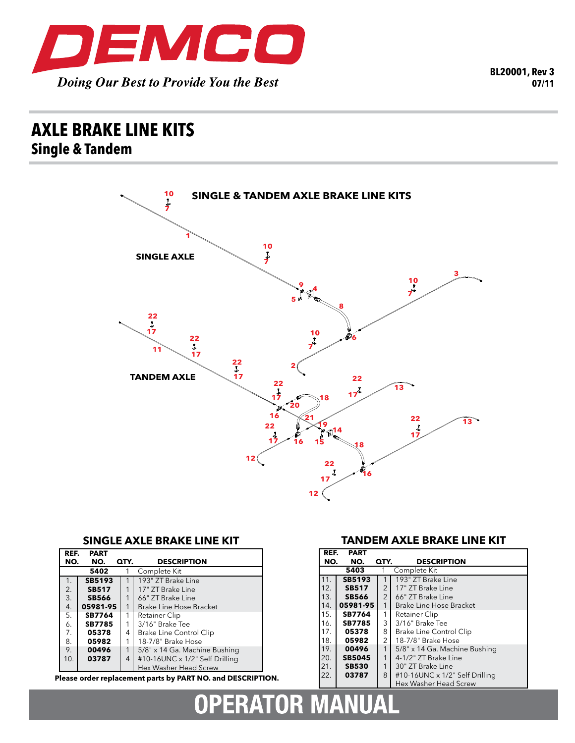

## **axle brake line kits Single & Tandem**



**RATOR MANUAL** 

## **SINGLE AXLE BRAKE LINE KIT**

| REF.                 | <b>PART</b>   |      |                                |  |  |
|----------------------|---------------|------|--------------------------------|--|--|
| NO.                  | NO.           | QTY. | <b>DESCRIPTION</b>             |  |  |
| 5402<br>Complete Kit |               |      |                                |  |  |
| 1.                   | <b>SB5193</b> |      | 193" ZT Brake Line             |  |  |
| 2.                   | <b>SB517</b>  | 1    | 17" ZT Brake Line              |  |  |
| 3.                   | <b>SB566</b>  | 1    | 66" ZT Brake Line              |  |  |
| 4.                   | 05981-95      | 1    | Brake Line Hose Bracket        |  |  |
| 5.                   | <b>SB7764</b> | 1    | Retainer Clip                  |  |  |
| 6.                   | <b>SB7785</b> | 1    | 3/16" Brake Tee                |  |  |
| 7.                   | 05378         | 4    | Brake Line Control Clip        |  |  |
| 8.                   | 05982         | 1    | 18-7/8" Brake Hose             |  |  |
| 9.                   | 00496         | 1    | 5/8" x 14 Ga. Machine Bushing  |  |  |
| 10.                  | 03787         | 4    | #10-16UNC x 1/2" Self Drilling |  |  |
|                      |               |      | Hex Washer Head Screw          |  |  |

**Please order replacement parts by PART NO. and DESCRIPTION.**

 $\mathbf{D}$ 

## **TANDEM AXLE BRAKE LINE KIT**

| REF. | <b>PART</b>   |                |                                |
|------|---------------|----------------|--------------------------------|
| NO.  | NO.           | QTY.           | <b>DESCRIPTION</b>             |
|      | 5403          |                | Complete Kit                   |
| 11.  | SB5193        |                | 193" ZT Brake Line             |
| 12.  | <b>SB517</b>  | $\overline{2}$ | 17" ZT Brake Line              |
| 13.  | <b>SB566</b>  | $\overline{2}$ | 66" ZT Brake Line              |
| 14.  | 05981-95      | 1              | Brake Line Hose Bracket        |
| 15.  | <b>SB7764</b> | 1              | Retainer Clip                  |
| 16.  | <b>SB7785</b> | 3              | 3/16" Brake Tee                |
| 17.  | 05378         | 8              | <b>Brake Line Control Clip</b> |
| 18.  | 05982         | $\overline{2}$ | 18-7/8" Brake Hose             |
| 19.  | 00496         | 1              | 5/8" x 14 Ga. Machine Bushing  |
| 20.  | <b>SB5045</b> | 1              | 4-1/2" ZT Brake Line           |
| 21.  | <b>SB530</b>  | 1              | 30" ZT Brake Line              |
| 22.  | 03787         | 8              | #10-16UNC x 1/2" Self Drilling |
|      |               |                | Hex Washer Head Screw          |